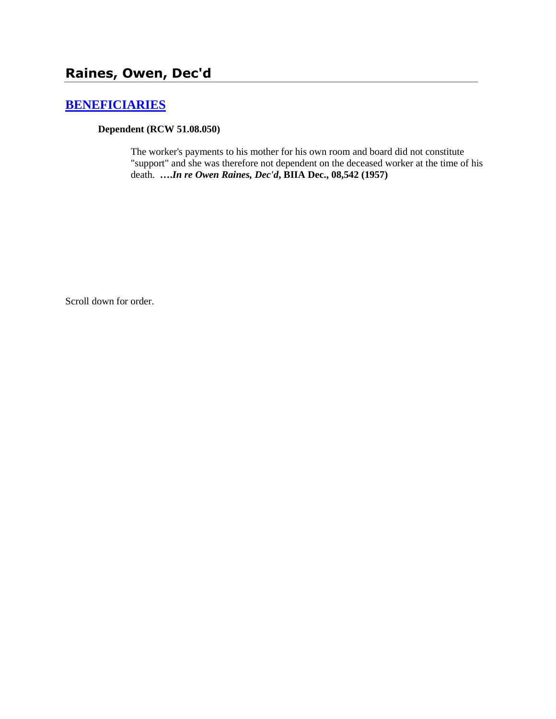# **[BENEFICIARIES](http://www.biia.wa.gov/SDSubjectIndex.html#BENEFICIARIES)**

### **Dependent (RCW 51.08.050)**

The worker's payments to his mother for his own room and board did not constitute "support" and she was therefore not dependent on the deceased worker at the time of his death. **….***In re Owen Raines, Dec'd***, BIIA Dec., 08,542 (1957)** 

Scroll down for order.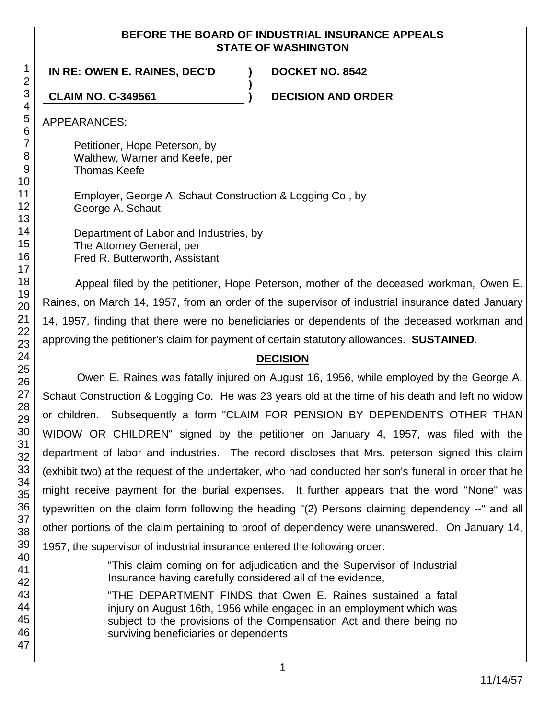### **BEFORE THE BOARD OF INDUSTRIAL INSURANCE APPEALS STATE OF WASHINGTON**

**)**

**IN RE: OWEN E. RAINES, DEC'D ) DOCKET NO. 8542**

**CLAIM NO. C-349561 ) DECISION AND ORDER**

APPEARANCES:

Petitioner, Hope Peterson, by Walthew, Warner and Keefe, per Thomas Keefe

Employer, George A. Schaut Construction & Logging Co., by George A. Schaut

Department of Labor and Industries, by The Attorney General, per Fred R. Butterworth, Assistant

Appeal filed by the petitioner, Hope Peterson, mother of the deceased workman, Owen E. Raines, on March 14, 1957, from an order of the supervisor of industrial insurance dated January 14, 1957, finding that there were no beneficiaries or dependents of the deceased workman and approving the petitioner's claim for payment of certain statutory allowances. **SUSTAINED**.

# **DECISION**

Owen E. Raines was fatally injured on August 16, 1956, while employed by the George A. Schaut Construction & Logging Co. He was 23 years old at the time of his death and left no widow or children. Subsequently a form "CLAIM FOR PENSION BY DEPENDENTS OTHER THAN WIDOW OR CHILDREN" signed by the petitioner on January 4, 1957, was filed with the department of labor and industries. The record discloses that Mrs. peterson signed this claim (exhibit two) at the request of the undertaker, who had conducted her son's funeral in order that he might receive payment for the burial expenses. It further appears that the word "None" was typewritten on the claim form following the heading "(2) Persons claiming dependency --" and all other portions of the claim pertaining to proof of dependency were unanswered. On January 14, 1957, the supervisor of industrial insurance entered the following order:

> "This claim coming on for adjudication and the Supervisor of Industrial Insurance having carefully considered all of the evidence,

> "THE DEPARTMENT FINDS that Owen E. Raines sustained a fatal injury on August 16th, 1956 while engaged in an employment which was subject to the provisions of the Compensation Act and there being no surviving beneficiaries or dependents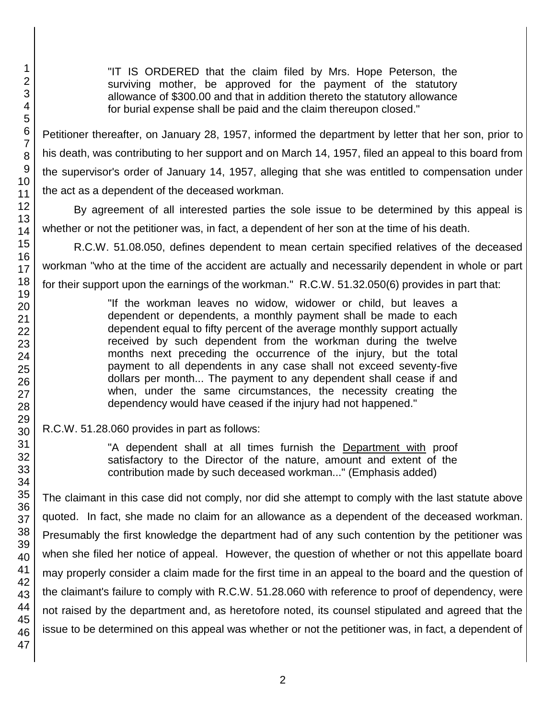"IT IS ORDERED that the claim filed by Mrs. Hope Peterson, the surviving mother, be approved for the payment of the statutory allowance of \$300.00 and that in addition thereto the statutory allowance for burial expense shall be paid and the claim thereupon closed."

Petitioner thereafter, on January 28, 1957, informed the department by letter that her son, prior to his death, was contributing to her support and on March 14, 1957, filed an appeal to this board from the supervisor's order of January 14, 1957, alleging that she was entitled to compensation under the act as a dependent of the deceased workman.

By agreement of all interested parties the sole issue to be determined by this appeal is whether or not the petitioner was, in fact, a dependent of her son at the time of his death.

R.C.W. 51.08.050, defines dependent to mean certain specified relatives of the deceased workman "who at the time of the accident are actually and necessarily dependent in whole or part for their support upon the earnings of the workman." R.C.W. 51.32.050(6) provides in part that:

> "If the workman leaves no widow, widower or child, but leaves a dependent or dependents, a monthly payment shall be made to each dependent equal to fifty percent of the average monthly support actually received by such dependent from the workman during the twelve months next preceding the occurrence of the injury, but the total payment to all dependents in any case shall not exceed seventy-five dollars per month... The payment to any dependent shall cease if and when, under the same circumstances, the necessity creating the dependency would have ceased if the injury had not happened."

R.C.W. 51.28.060 provides in part as follows:

"A dependent shall at all times furnish the Department with proof satisfactory to the Director of the nature, amount and extent of the contribution made by such deceased workman..." (Emphasis added)

The claimant in this case did not comply, nor did she attempt to comply with the last statute above quoted. In fact, she made no claim for an allowance as a dependent of the deceased workman. Presumably the first knowledge the department had of any such contention by the petitioner was when she filed her notice of appeal. However, the question of whether or not this appellate board may properly consider a claim made for the first time in an appeal to the board and the question of the claimant's failure to comply with R.C.W. 51.28.060 with reference to proof of dependency, were not raised by the department and, as heretofore noted, its counsel stipulated and agreed that the issue to be determined on this appeal was whether or not the petitioner was, in fact, a dependent of

1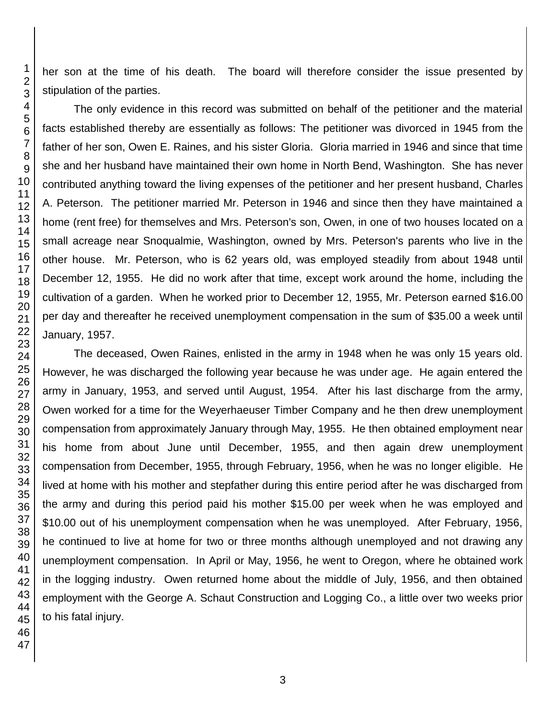her son at the time of his death. The board will therefore consider the issue presented by stipulation of the parties.

The only evidence in this record was submitted on behalf of the petitioner and the material facts established thereby are essentially as follows: The petitioner was divorced in 1945 from the father of her son, Owen E. Raines, and his sister Gloria. Gloria married in 1946 and since that time she and her husband have maintained their own home in North Bend, Washington. She has never contributed anything toward the living expenses of the petitioner and her present husband, Charles A. Peterson. The petitioner married Mr. Peterson in 1946 and since then they have maintained a home (rent free) for themselves and Mrs. Peterson's son, Owen, in one of two houses located on a small acreage near Snoqualmie, Washington, owned by Mrs. Peterson's parents who live in the other house. Mr. Peterson, who is 62 years old, was employed steadily from about 1948 until December 12, 1955. He did no work after that time, except work around the home, including the cultivation of a garden. When he worked prior to December 12, 1955, Mr. Peterson earned \$16.00 per day and thereafter he received unemployment compensation in the sum of \$35.00 a week until January, 1957.

The deceased, Owen Raines, enlisted in the army in 1948 when he was only 15 years old. However, he was discharged the following year because he was under age. He again entered the army in January, 1953, and served until August, 1954. After his last discharge from the army, Owen worked for a time for the Weyerhaeuser Timber Company and he then drew unemployment compensation from approximately January through May, 1955. He then obtained employment near his home from about June until December, 1955, and then again drew unemployment compensation from December, 1955, through February, 1956, when he was no longer eligible. He lived at home with his mother and stepfather during this entire period after he was discharged from the army and during this period paid his mother \$15.00 per week when he was employed and \$10.00 out of his unemployment compensation when he was unemployed. After February, 1956, he continued to live at home for two or three months although unemployed and not drawing any unemployment compensation. In April or May, 1956, he went to Oregon, where he obtained work in the logging industry. Owen returned home about the middle of July, 1956, and then obtained employment with the George A. Schaut Construction and Logging Co., a little over two weeks prior to his fatal injury.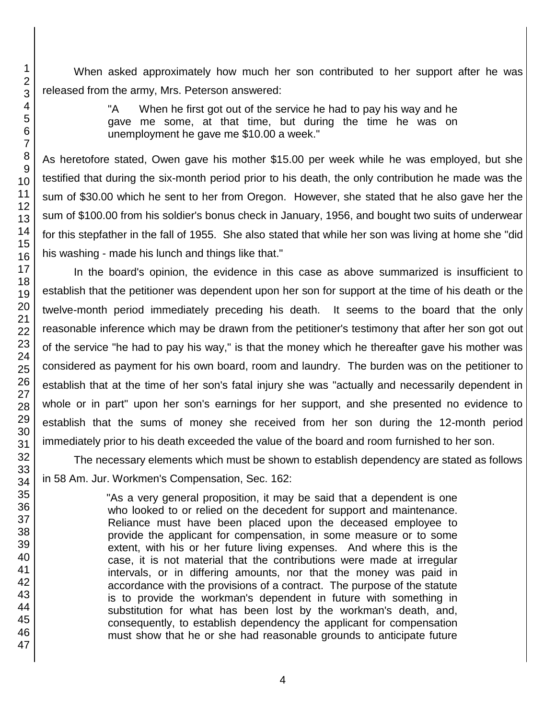When asked approximately how much her son contributed to her support after he was released from the army, Mrs. Peterson answered:

> "A When he first got out of the service he had to pay his way and he gave me some, at that time, but during the time he was on unemployment he gave me \$10.00 a week."

As heretofore stated, Owen gave his mother \$15.00 per week while he was employed, but she testified that during the six-month period prior to his death, the only contribution he made was the sum of \$30.00 which he sent to her from Oregon. However, she stated that he also gave her the sum of \$100.00 from his soldier's bonus check in January, 1956, and bought two suits of underwear for this stepfather in the fall of 1955. She also stated that while her son was living at home she "did his washing - made his lunch and things like that."

In the board's opinion, the evidence in this case as above summarized is insufficient to establish that the petitioner was dependent upon her son for support at the time of his death or the twelve-month period immediately preceding his death. It seems to the board that the only reasonable inference which may be drawn from the petitioner's testimony that after her son got out of the service "he had to pay his way," is that the money which he thereafter gave his mother was considered as payment for his own board, room and laundry. The burden was on the petitioner to establish that at the time of her son's fatal injury she was "actually and necessarily dependent in whole or in part" upon her son's earnings for her support, and she presented no evidence to establish that the sums of money she received from her son during the 12-month period immediately prior to his death exceeded the value of the board and room furnished to her son.

The necessary elements which must be shown to establish dependency are stated as follows in 58 Am. Jur. Workmen's Compensation, Sec. 162:

> "As a very general proposition, it may be said that a dependent is one who looked to or relied on the decedent for support and maintenance. Reliance must have been placed upon the deceased employee to provide the applicant for compensation, in some measure or to some extent, with his or her future living expenses. And where this is the case, it is not material that the contributions were made at irregular intervals, or in differing amounts, nor that the money was paid in accordance with the provisions of a contract. The purpose of the statute is to provide the workman's dependent in future with something in substitution for what has been lost by the workman's death, and, consequently, to establish dependency the applicant for compensation must show that he or she had reasonable grounds to anticipate future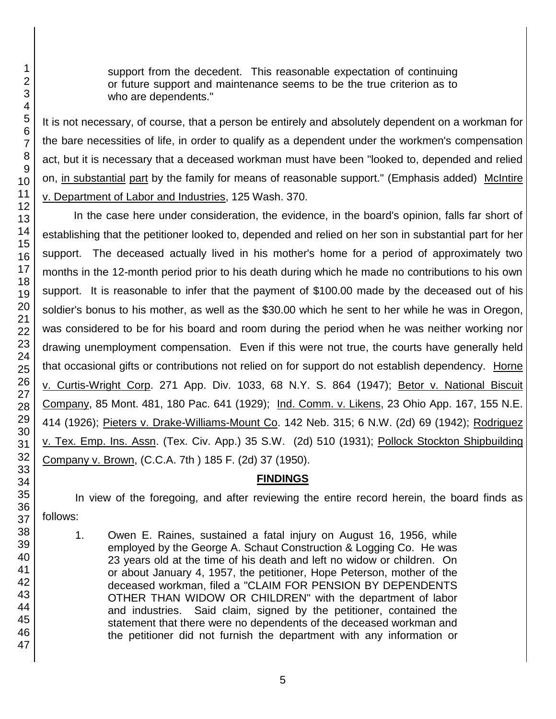support from the decedent. This reasonable expectation of continuing or future support and maintenance seems to be the true criterion as to who are dependents."

It is not necessary, of course, that a person be entirely and absolutely dependent on a workman for the bare necessities of life, in order to qualify as a dependent under the workmen's compensation act, but it is necessary that a deceased workman must have been "looked to, depended and relied on, in substantial part by the family for means of reasonable support." (Emphasis added) McIntire v. Department of Labor and Industries, 125 Wash. 370.

In the case here under consideration, the evidence, in the board's opinion, falls far short of establishing that the petitioner looked to, depended and relied on her son in substantial part for her support. The deceased actually lived in his mother's home for a period of approximately two months in the 12-month period prior to his death during which he made no contributions to his own support. It is reasonable to infer that the payment of \$100.00 made by the deceased out of his soldier's bonus to his mother, as well as the \$30.00 which he sent to her while he was in Oregon, was considered to be for his board and room during the period when he was neither working nor drawing unemployment compensation. Even if this were not true, the courts have generally held that occasional gifts or contributions not relied on for support do not establish dependency. Horne v. Curtis-Wright Corp. 271 App. Div. 1033, 68 N.Y. S. 864 (1947); Betor v. National Biscuit Company, 85 Mont. 481, 180 Pac. 641 (1929); Ind. Comm. v. Likens, 23 Ohio App. 167, 155 N.E. 414 (1926); Pieters v. Drake-Williams-Mount Co. 142 Neb. 315; 6 N.W. (2d) 69 (1942); Rodriguez v. Tex. Emp. Ins. Assn. (Tex. Civ. App.) 35 S.W. (2d) 510 (1931); Pollock Stockton Shipbuilding Company v. Brown, (C.C.A. 7th ) 185 F. (2d) 37 (1950).

# **FINDINGS**

In view of the foregoing, and after reviewing the entire record herein, the board finds as follows:

1. Owen E. Raines, sustained a fatal injury on August 16, 1956, while employed by the George A. Schaut Construction & Logging Co. He was 23 years old at the time of his death and left no widow or children. On or about January 4, 1957, the petitioner, Hope Peterson, mother of the deceased workman, filed a "CLAIM FOR PENSION BY DEPENDENTS OTHER THAN WIDOW OR CHILDREN" with the department of labor and industries. Said claim, signed by the petitioner, contained the statement that there were no dependents of the deceased workman and the petitioner did not furnish the department with any information or